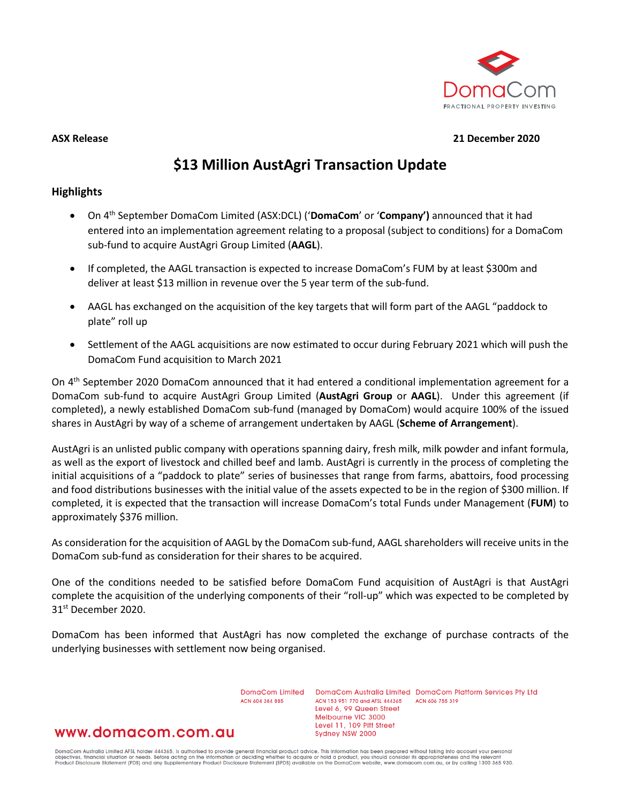

### **ASX Release 21 December 2020**

# **\$13 Million AustAgri Transaction Update**

### **Highlights**

- On 4th September DomaCom Limited (ASX:DCL) ('**DomaCom**' or '**Company')** announced that it had entered into an implementation agreement relating to a proposal (subject to conditions) for a DomaCom sub-fund to acquire AustAgri Group Limited (**AAGL**).
- If completed, the AAGL transaction is expected to increase DomaCom's FUM by at least \$300m and deliver at least \$13 million in revenue over the 5 year term of the sub-fund.
- AAGL has exchanged on the acquisition of the key targets that will form part of the AAGL "paddock to plate" roll up
- Settlement of the AAGL acquisitions are now estimated to occur during February 2021 which will push the DomaCom Fund acquisition to March 2021

On 4th September 2020 DomaCom announced that it had entered a conditional implementation agreement for a DomaCom sub-fund to acquire AustAgri Group Limited (**AustAgri Group** or **AAGL**). Under this agreement (if completed), a newly established DomaCom sub-fund (managed by DomaCom) would acquire 100% of the issued shares in AustAgri by way of a scheme of arrangement undertaken by AAGL (**Scheme of Arrangement**).

AustAgri is an unlisted public company with operations spanning dairy, fresh milk, milk powder and infant formula, as well as the export of livestock and chilled beef and lamb. AustAgri is currently in the process of completing the initial acquisitions of a "paddock to plate" series of businesses that range from farms, abattoirs, food processing and food distributions businesses with the initial value of the assets expected to be in the region of \$300 million. If completed, it is expected that the transaction will increase DomaCom's total Funds under Management (**FUM**) to approximately \$376 million.

As consideration for the acquisition of AAGL by the DomaCom sub-fund, AAGL shareholders will receive units in the DomaCom sub-fund as consideration for their shares to be acquired.

One of the conditions needed to be satisfied before DomaCom Fund acquisition of AustAgri is that AustAgri complete the acquisition of the underlying components of their "roll-up" which was expected to be completed by 31<sup>st</sup> December 2020.

DomaCom has been informed that AustAgri has now completed the exchange of purchase contracts of the underlying businesses with settlement now being organised.

> DomaCom Limited ACN 604 384 885

DomaCom Australia Limited DomaCom Platform Services Pty Ltd ACN 153 951 770 and AFSL 444365 ACN 606 755 319 Level 6, 99 Queen Street Melbourne VIC 3000 Level 11, 109 Pitt Street Sydney NSW 2000

## www.domacom.com.au

DomaCom Australia Limited AFSL holder 444365, is authorised to provide general financial product advice. This information has been prepared without taking into account your personal<br>objectives, financial situation or needs